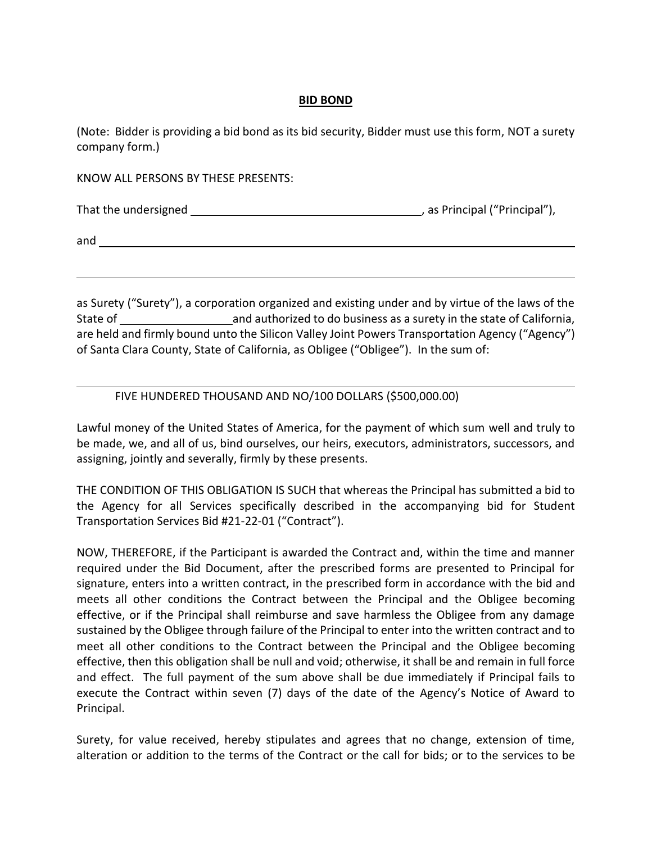## **BID BOND**

(Note: Bidder is providing a bid bond as its bid security, Bidder must use this form, NOT a surety company form.)

KNOW ALL PERSONS BY THESE PRESENTS:

That the undersigned , as Principal ("Principal"),

and

as Surety ("Surety"), a corporation organized and existing under and by virtue of the laws of the State of **and authorized to do business as a surety in the state of California,** are held and firmly bound unto the Silicon Valley Joint Powers Transportation Agency ("Agency") of Santa Clara County, State of California, as Obligee ("Obligee"). In the sum of:

## FIVE HUNDERED THOUSAND AND NO/100 DOLLARS (\$500,000.00)

Lawful money of the United States of America, for the payment of which sum well and truly to be made, we, and all of us, bind ourselves, our heirs, executors, administrators, successors, and assigning, jointly and severally, firmly by these presents.

THE CONDITION OF THIS OBLIGATION IS SUCH that whereas the Principal has submitted a bid to the Agency for all Services specifically described in the accompanying bid for Student Transportation Services Bid #21-22-01 ("Contract").

NOW, THEREFORE, if the Participant is awarded the Contract and, within the time and manner required under the Bid Document, after the prescribed forms are presented to Principal for signature, enters into a written contract, in the prescribed form in accordance with the bid and meets all other conditions the Contract between the Principal and the Obligee becoming effective, or if the Principal shall reimburse and save harmless the Obligee from any damage sustained by the Obligee through failure of the Principal to enter into the written contract and to meet all other conditions to the Contract between the Principal and the Obligee becoming effective, then this obligation shall be null and void; otherwise, it shall be and remain in full force and effect. The full payment of the sum above shall be due immediately if Principal fails to execute the Contract within seven (7) days of the date of the Agency's Notice of Award to Principal.

Surety, for value received, hereby stipulates and agrees that no change, extension of time, alteration or addition to the terms of the Contract or the call for bids; or to the services to be